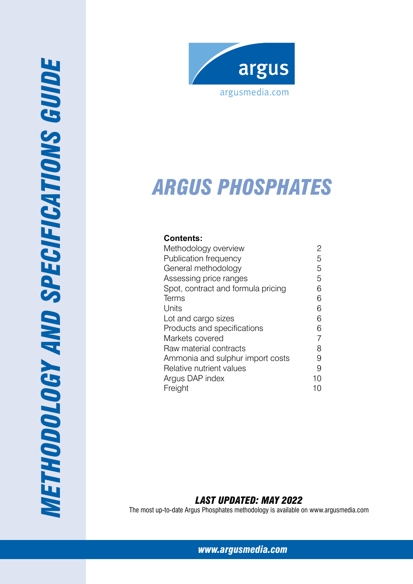



# *A R GUs phosphates*

## **Contents:**

| Methodology overview               | 2  |
|------------------------------------|----|
| Publication frequency              | 5  |
| General methodology                | 5  |
| Assessing price ranges             | 5  |
| Spot, contract and formula pricing | 6  |
| Terms                              | 6  |
| Units                              | 6  |
| Lot and cargo sizes                | 6  |
| Products and specifications        | 6  |
| Markets covered                    | 7  |
| Raw material contracts             | 8  |
| Ammonia and sulphur import costs   | 9  |
| Relative nutrient values           | 9  |
| Argus DAP index                    | 10 |
| Freight                            | 10 |
|                                    |    |

# *Last Updated: May 2022*

The most up-to-date Argus Phosphates methodology is available on www.argusmedia.com

*[www.argusmedia.com](http://www.argusmediagroup.com)*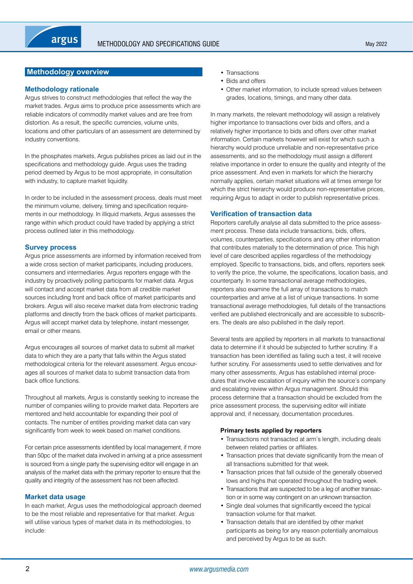## <span id="page-1-0"></span>**Methodology overview**

## **Methodology rationale**

Argus strives to construct methodologies that reflect the way the market trades. Argus aims to produce price assessments which are reliable indicators of commodity market values and are free from distortion. As a result, the specific currencies, volume units, locations and other particulars of an assessment are determined by industry conventions.

In the phosphates markets, Argus publishes prices as laid out in the specifications and methodology guide. Argus uses the trading period deemed by Argus to be most appropriate, in consultation with industry, to capture market liquidity.

In order to be included in the assessment process, deals must meet the minimum volume, delivery, timing and specification requirements in our methodology. In illiquid markets, Argus assesses the range within which product could have traded by applying a strict process outlined later in this methodology.

## **Survey process**

Argus price assessments are informed by information received from a wide cross section of market participants, including producers, consumers and intermediaries. Argus reporters engage with the industry by proactively polling participants for market data. Argus will contact and accept market data from all credible market sources including front and back office of market participants and brokers. Argus will also receive market data from electronic trading platforms and directly from the back offices of market participants. Argus will accept market data by telephone, instant messenger, email or other means.

Argus encourages all sources of market data to submit all market data to which they are a party that falls within the Argus stated methodological criteria for the relevant assessment. Argus encourages all sources of market data to submit transaction data from back office functions.

Throughout all markets, Argus is constantly seeking to increase the number of companies willing to provide market data. Reporters are mentored and held accountable for expanding their pool of contacts. The number of entities providing market data can vary significantly from week to week based on market conditions.

For certain price assessments identified by local management, if more than 50pc of the market data involved in arriving at a price assessment is sourced from a single party the supervising editor will engage in an analysis of the market data with the primary reporter to ensure that the quality and integrity of the assessment has not been affected.

## **Market data usage**

In each market, Argus uses the methodological approach deemed to be the most reliable and representative for that market. Argus will utilise various types of market data in its methodologies, to include:

- Transactions
- Bids and offers
- Other market information, to include spread values between grades, locations, timings, and many other data.

In many markets, the relevant methodology will assign a relatively higher importance to transactions over bids and offers, and a relatively higher importance to bids and offers over other market information. Certain markets however will exist for which such a hierarchy would produce unreliable and non-representative price assessments, and so the methodology must assign a different relative importance in order to ensure the quality and integrity of the price assessment. And even in markets for which the hierarchy normally applies, certain market situations will at times emerge for which the strict hierarchy would produce non-representative prices, requiring Argus to adapt in order to publish representative prices.

## **Verification of transaction data**

Reporters carefully analyse all data submitted to the price assessment process. These data include transactions, bids, offers, volumes, counterparties, specifications and any other information that contributes materially to the determination of price. This high level of care described applies regardless of the methodology employed. Specific to transactions, bids, and offers, reporters seek to verify the price, the volume, the specifications, location basis, and counterparty. In some transactional average methodologies, reporters also examine the full array of transactions to match counterparties and arrive at a list of unique transactions. In some transactional average methodologies, full details of the transactions verified are published electronically and are accessible to subscribers. The deals are also published in the daily report.

Several tests are applied by reporters in all markets to transactional data to determine if it should be subjected to further scrutiny. If a transaction has been identified as failing such a test, it will receive further scrutiny. For assessments used to settle derivatives and for many other assessments, Argus has established internal procedures that involve escalation of inquiry within the source's company and escalating review within Argus management. Should this process determine that a transaction should be excluded from the price assessment process, the supervising editor will initiate approval and, if necessary, documentation procedures.

## **Primary tests applied by reporters**

- Transactions not transacted at arm's length, including deals between related parties or affiliates.
- Transaction prices that deviate significantly from the mean of all transactions submitted for that week.
- Transaction prices that fall outside of the generally observed lows and highs that operated throughout the trading week.
- Transactions that are suspected to be a leg of another transaction or in some way contingent on an unknown transaction.
- Single deal volumes that significantly exceed the typical transaction volume for that market.
- Transaction details that are identified by other market participants as being for any reason potentially anomalous and perceived by Argus to be as such.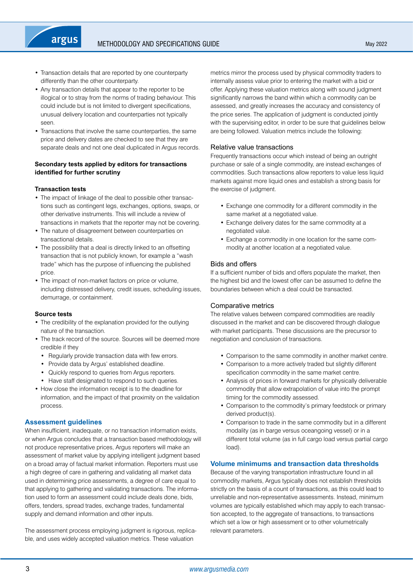- Transaction details that are reported by one counterparty differently than the other counterparty.
- Any transaction details that appear to the reporter to be illogical or to stray from the norms of trading behaviour. This could include but is not limited to divergent specifications, unusual delivery location and counterparties not typically seen.
- Transactions that involve the same counterparties, the same price and delivery dates are checked to see that they are separate deals and not one deal duplicated in Argus records.

## **Secondary tests applied by editors for transactions identified for further scrutiny**

## **Transaction tests**

- The impact of linkage of the deal to possible other transactions such as contingent legs, exchanges, options, swaps, or other derivative instruments. This will include a review of transactions in markets that the reporter may not be covering.
- The nature of disagreement between counterparties on transactional details.
- The possibility that a deal is directly linked to an offsetting transaction that is not publicly known, for example a "wash trade" which has the purpose of influencing the published price.
- The impact of non-market factors on price or volume, including distressed delivery, credit issues, scheduling issues, demurrage, or containment.

## **Source tests**

- The credibility of the explanation provided for the outlying nature of the transaction.
- The track record of the source. Sources will be deemed more credible if they
	- Regularly provide transaction data with few errors.
	- Provide data by Argus' established deadline.
	- Quickly respond to queries from Argus reporters.
	- Have staff designated to respond to such queries.
- How close the information receipt is to the deadline for information, and the impact of that proximity on the validation process.

## **Assessment guidelines**

When insufficient, inadequate, or no transaction information exists, or when Argus concludes that a transaction based methodology will not produce representative prices, Argus reporters will make an assessment of market value by applying intelligent judgment based on a broad array of factual market information. Reporters must use a high degree of care in gathering and validating all market data used in determining price assessments, a degree of care equal to that applying to gathering and validating transactions. The information used to form an assessment could include deals done, bids, offers, tenders, spread trades, exchange trades, fundamental supply and demand information and other inputs.

The assessment process employing judgment is rigorous, replicable, and uses widely accepted valuation metrics. These valuation

metrics mirror the process used by physical commodity traders to internally assess value prior to entering the market with a bid or offer. Applying these valuation metrics along with sound judgment significantly narrows the band within which a commodity can be assessed, and greatly increases the accuracy and consistency of the price series. The application of judgment is conducted jointly with the supervising editor, in order to be sure that guidelines below are being followed. Valuation metrics include the following:

## Relative value transactions

Frequently transactions occur which instead of being an outright purchase or sale of a single commodity, are instead exchanges of commodities. Such transactions allow reporters to value less liquid markets against more liquid ones and establish a strong basis for the exercise of judgment.

- Exchange one commodity for a different commodity in the same market at a negotiated value.
- Exchange delivery dates for the same commodity at a negotiated value.
- Exchange a commodity in one location for the same commodity at another location at a negotiated value.

## Bids and offers

If a sufficient number of bids and offers populate the market, then the highest bid and the lowest offer can be assumed to define the boundaries between which a deal could be transacted.

## Comparative metrics

The relative values between compared commodities are readily discussed in the market and can be discovered through dialogue with market participants. These discussions are the precursor to negotiation and conclusion of transactions.

- Comparison to the same commodity in another market centre.
- Comparison to a more actively traded but slightly different specification commodity in the same market centre.
- Analysis of prices in forward markets for physically deliverable commodity that allow extrapolation of value into the prompt timing for the commodity assessed.
- Comparison to the commodity's primary feedstock or primary derived product(s).
- Comparison to trade in the same commodity but in a different modality (as in barge versus oceangoing vessel) or in a different total volume (as in full cargo load versus partial cargo load).

## **Volume minimums and transaction data thresholds**

Because of the varying transportation infrastructure found in all commodity markets, Argus typically does not establish thresholds strictly on the basis of a count of transactions, as this could lead to unreliable and non-representative assessments. Instead, minimum volumes are typically established which may apply to each transaction accepted, to the aggregate of transactions, to transactions which set a low or high assessment or to other volumetrically relevant parameters.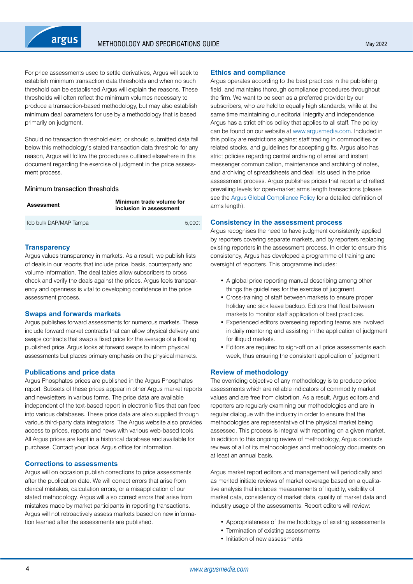

For price assessments used to settle derivatives, Argus will seek to establish minimum transaction data thresholds and when no such threshold can be established Argus will explain the reasons. These thresholds will often reflect the minimum volumes necessary to produce a transaction-based methodology, but may also establish minimum deal parameters for use by a methodology that is based primarily on judgment.

Should no transaction threshold exist, or should submitted data fall below this methodology's stated transaction data threshold for any reason, Argus will follow the procedures outlined elsewhere in this document regarding the exercise of judgment in the price assessment process.

#### Minimum transaction thresholds

| <b>Assessment</b>      | Minimum trade volume for<br>inclusion in assessment |  |  |  |
|------------------------|-----------------------------------------------------|--|--|--|
| fob bulk DAP/MAP Tampa | 5.000t                                              |  |  |  |

## **Transparency**

Argus values transparency in markets. As a result, we publish lists of deals in our reports that include price, basis, counterparty and volume information. The deal tables allow subscribers to cross check and verify the deals against the prices. Argus feels transparency and openness is vital to developing confidence in the price assessment process.

## **Swaps and forwards markets**

Argus publishes forward assessments for numerous markets. These include forward market contracts that can allow physical delivery and swaps contracts that swap a fixed price for the average of a floating published price. Argus looks at forward swaps to inform physical assessments but places primary emphasis on the physical markets.

## **Publications and price data**

Argus Phosphates prices are published in the Argus Phosphates report. Subsets of these prices appear in other Argus market reports and newsletters in various forms. The price data are available independent of the text-based report in electronic files that can feed into various databases. These price data are also supplied through various third-party data integrators. The Argus website also provides access to prices, reports and news with various web-based tools. All Argus prices are kept in a historical database and available for purchase. Contact your local Argus office for information.

## **Corrections to assessments**

Argus will on occasion publish corrections to price assessments after the publication date. We will correct errors that arise from clerical mistakes, calculation errors, or a misapplication of our stated methodology. Argus will also correct errors that arise from mistakes made by market participants in reporting transactions. Argus will not retroactively assess markets based on new information learned after the assessments are published.

#### **Ethics and compliance**

Argus operates according to the best practices in the publishing field, and maintains thorough compliance procedures throughout the firm. We want to be seen as a preferred provider by our subscribers, who are held to equally high standards, while at the same time maintaining our editorial integrity and independence. Argus has a strict ethics policy that applies to all staff. The policy can be found on our website at [www.argusmedia.com.](www.argusmedia.com) Included in this policy are restrictions against staff trading in commodities or related stocks, and guidelines for accepting gifts. Argus also has strict policies regarding central archiving of email and instant messenger communication, maintenance and archiving of notes, and archiving of spreadsheets and deal lists used in the price assessment process. Argus publishes prices that report and reflect prevailing levels for open-market arms length transactions (please see the [Argus Global Compliance Policy](http://www.argusmedia.com/about-argus/how-we-work/) for a detailed definition of arms length).

#### **Consistency in the assessment process**

Argus recognises the need to have judgment consistently applied by reporters covering separate markets, and by reporters replacing existing reporters in the assessment process. In order to ensure this consistency, Argus has developed a programme of training and oversight of reporters. This programme includes:

- A global price reporting manual describing among other things the guidelines for the exercise of judgment.
- Cross-training of staff between markets to ensure proper holiday and sick leave backup. Editors that float between markets to monitor staff application of best practices.
- Experienced editors overseeing reporting teams are involved in daily mentoring and assisting in the application of judgment for illiquid markets.
- Editors are required to sign-off on all price assessments each week, thus ensuring the consistent application of judgment.

## **Review of methodology**

The overriding objective of any methodology is to produce price assessments which are reliable indicators of commodity market values and are free from distortion. As a result, Argus editors and reporters are regularly examining our methodologies and are in regular dialogue with the industry in order to ensure that the methodologies are representative of the physical market being assessed. This process is integral with reporting on a given market. In addition to this ongoing review of methodology, Argus conducts reviews of all of its methodologies and methodology documents on at least an annual basis.

Argus market report editors and management will periodically and as merited initiate reviews of market coverage based on a qualitative analysis that includes measurements of liquidity, visibility of market data, consistency of market data, quality of market data and industry usage of the assessments. Report editors will review:

- Appropriateness of the methodology of existing assessments
- Termination of existing assessments
- Initiation of new assessments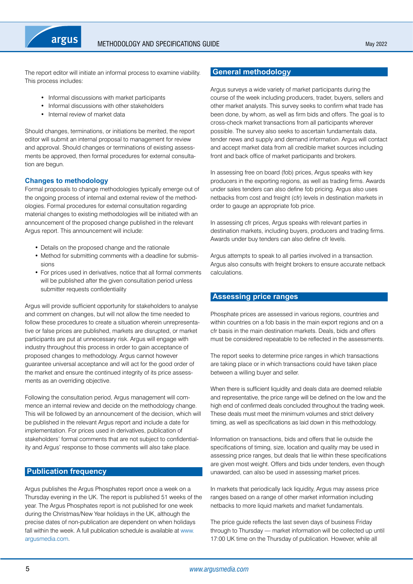<span id="page-4-0"></span>

The report editor will initiate an informal process to examine viability. This process includes:

- Informal discussions with market participants
- Informal discussions with other stakeholders
- Internal review of market data

Should changes, terminations, or initiations be merited, the report editor will submit an internal proposal to management for review and approval. Should changes or terminations of existing assessments be approved, then formal procedures for external consultation are begun.

## **Changes to methodology**

Formal proposals to change methodologies typically emerge out of the ongoing process of internal and external review of the methodologies. Formal procedures for external consultation regarding material changes to existing methodologies will be initiated with an announcement of the proposed change published in the relevant Argus report. This announcement will include:

- Details on the proposed change and the rationale
- Method for submitting comments with a deadline for submissions
- For prices used in derivatives, notice that all formal comments will be published after the given consultation period unless submitter requests confidentiality

Argus will provide sufficient opportunity for stakeholders to analyse and comment on changes, but will not allow the time needed to follow these procedures to create a situation wherein unrepresentative or false prices are published, markets are disrupted, or market participants are put at unnecessary risk. Argus will engage with industry throughout this process in order to gain acceptance of proposed changes to methodology. Argus cannot however guarantee universal acceptance and will act for the good order of the market and ensure the continued integrity of its price assessments as an overriding objective.

Following the consultation period. Argus management will commence an internal review and decide on the methodology change. This will be followed by an announcement of the decision, which will be published in the relevant Argus report and include a date for implementation. For prices used in derivatives, publication of stakeholders' formal comments that are not subject to confidentiality and Argus' response to those comments will also take place.

## **Publication frequency**

Argus publishes the Argus Phosphates report once a week on a Thursday evening in the UK. The report is published 51 weeks of the year. The Argus Phosphates report is not published for one week during the Christmas/New Year holidays in the UK, although the precise dates of non-publication are dependent on when holidays fall within the week. A full publication schedule is available at [www.](www.argusmedia.com) [argusmedia.com](www.argusmedia.com).

## **General methodology**

Argus surveys a wide variety of market participants during the course of the week including producers, trader, buyers, sellers and other market analysts. This survey seeks to confirm what trade has been done, by whom, as well as firm bids and offers. The goal is to cross-check market transactions from all participants wherever possible. The survey also seeks to ascertain fundamentals data, tender news and supply and demand information. Argus will contact and accept market data from all credible market sources including front and back office of market participants and brokers.

In assessing free on board (fob) prices, Argus speaks with key producers in the exporting regions, as well as trading firms. Awards under sales tenders can also define fob pricing. Argus also uses netbacks from cost and freight (cfr) levels in destination markets in order to gauge an appropriate fob price.

In assessing cfr prices, Argus speaks with relevant parties in destination markets, including buyers, producers and trading firms. Awards under buy tenders can also define cfr levels.

Argus attempts to speak to all parties involved in a transaction. Argus also consults with freight brokers to ensure accurate netback calculations.

## **Assessing price ranges**

Phosphate prices are assessed in various regions, countries and within countries on a fob basis in the main export regions and on a cfr basis in the main destination markets. Deals, bids and offers must be considered repeatable to be reflected in the assessments.

The report seeks to determine price ranges in which transactions are taking place or in which transactions could have taken place between a willing buyer and seller.

When there is sufficient liquidity and deals data are deemed reliable and representative, the price range will be defined on the low and the high end of confirmed deals concluded throughout the trading week. These deals must meet the minimum volumes and strict delivery timing, as well as specifications as laid down in this methodology.

Information on transactions, bids and offers that lie outside the specifications of timing, size, location and quality may be used in assessing price ranges, but deals that lie within these specifications are given most weight. Offers and bids under tenders, even though unawarded, can also be used in assessing market prices.

In markets that periodically lack liquidity, Argus may assess price ranges based on a range of other market information including netbacks to more liquid markets and market fundamentals.

The price guide reflects the last seven days of business Friday through to Thursday — market information will be collected up until 17:00 UK time on the Thursday of publication. However, while all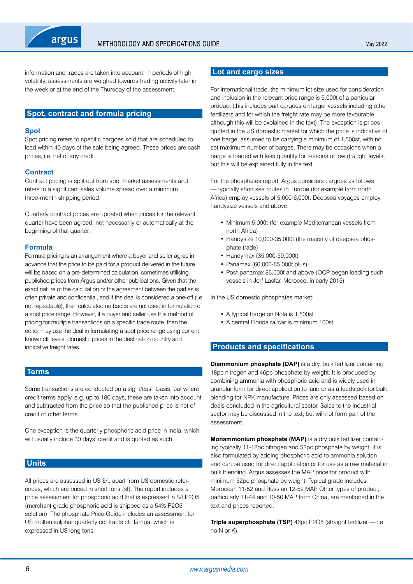<span id="page-5-0"></span>

information and trades are taken into account, in periods of high volatility, assessments are weighed towards trading activity later in the week or at the end of the Thursday of the assessment.

## **Spot, contract and formula pricing**

#### **Spot**

Spot pricing refers to specific cargoes sold that are scheduled to load within 40 days of the sale being agreed. These prices are cash prices, i.e. net of any credit.

## **Contract**

Contract pricing is split out from spot market assessments and refers to a significant sales volume spread over a minimum three-month shipping period.

Quarterly contract prices are updated when prices for the relevant quarter have been agreed, not necessarily or automatically at the beginning of that quarter.

#### **Formula**

Formula pricing is an arrangement where a buyer and seller agree in advance that the price to be paid for a product delivered in the future will be based on a pre-determined calculation, sometimes utilising published prices from Argus and/or other publications. Given that the exact nature of the calculation or the agreement between the parties is often private and confidential, and if the deal is considered a one-off (i.e not repeatable), then calculated netbacks are not used in formulation of a spot price range. However, if a buyer and seller use this method of pricing for multiple transactions on a specific trade route, then the editor may use the deal in formulating a spot price range using current known cfr levels, domestic prices in the destination country and indicative freight rates.

## **Terms**

Some transactions are conducted on a sight/cash basis, but where credit terms apply, e.g. up to 180 days, these are taken into account and subtracted from the price so that the published price is net of credit or other terms.

One exception is the quarterly phosphoric acid price in India, which will usually include 30 days' credit and is quoted as such.

## **Units**

All prices are assessed in US \$/t, apart from US domestic references, which are priced in short tons (st). The report includes a price assessment for phosphoric acid that is expressed in \$/t P2O5 (merchant grade phosphoric acid is shipped as a 54% P2O5 solution). The phosphate Price Guide includes an assessment for US molten sulphur quarterly contracts cfr Tampa, which is expressed in US long tons.

## **Lot and cargo sizes**

For international trade, the minimum lot size used for consideration and inclusion in the relevant price range is 5,000t of a particular product (this includes part cargoes on larger vessels including other fertilizers and for which the freight rate may be more favourable, although this will be explained in the text). The exception is prices quoted in the US domestic market for which the price is indicative of one barge, assumed to be carrying a minimum of 1,500st, with no set maximum number of barges. There may be occasions when a barge is loaded with less quantity for reasons of low draught levels, but this will be explained fully in the text.

For the phosphates report, Argus considers cargoes as follows — typically short sea routes in Europe (for example from north Africa) employ vessels of 5,000-6,000t. Deepsea voyages employ handysize vessels and above:

- Minimum 5,000t (for example Mediterranean vessels from north Africa)
- Handysize 10,000-35,000t (the majority of deepsea phosphate trade)
- Handymax (35,000-59,000t)
- Panamax (60,000-85,000t plus)
- Post-panamax 85,000t and above (OCP began loading such vessels in Jorf Lasfar, Morocco, in early 2015)

In the US domestic phosphates market:

- A typical barge on Nola is 1,500st
- A central Florida railcar is minimum 100st

## **Products and specifications**

**Diammonium phosphate (DAP)** is a dry, bulk fertilizer containing 18pc nitrogen and 46pc phosphate by weight. It is produced by combining ammonia with phosphoric acid and is widely used in granular form for direct application to land or as a feedstock for bulk blending for NPK manufacture. Prices are only assessed based on deals concluded in the agricultural sector. Sales to the industrial sector may be discussed in the text, but will not form part of the assessment.

**Monammonium phosphate (MAP)** is a dry bulk fertilizer containing typically 11-12pc nitrogen and 52pc phosphate by weight. It is also formulated by adding phosphoric acid to ammonia solution and can be used for direct application or for use as a raw material in bulk blending. Argus assesses the MAP price for product with minimum 52pc phosphate by weight. Typical grade includes Moroccan 11-52 and Russian 12-52 MAP. Other types of product, particularly 11-44 and 10-50 MAP from China, are mentioned in the text and prices reported.

**Triple superphosphate (TSP)** 46pc P2O5 (straight fertilizer - i.e. no N or K).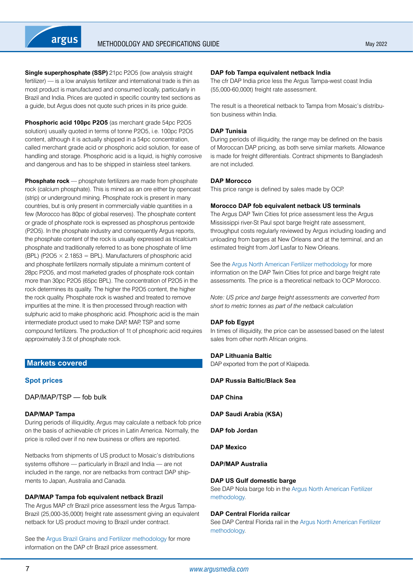<span id="page-6-0"></span>**Single superphosphate (SSP)** 21pc P2O5 (low analysis straight fertilizer) — is a low analysis fertilizer and international trade is thin as most product is manufactured and consumed locally, particularly in Brazil and India. Prices are quoted in specific country text sections as a guide, but Argus does not quote such prices in its price guide.

**Phosphoric acid 100pc P2O5** (as merchant grade 54pc P2O5 solution) usually quoted in terms of tonne P2O5, i.e. 100pc P2O5 content, although it is actually shipped in a 54pc concentration, called merchant grade acid or phosphoric acid solution, for ease of handling and storage. Phosphoric acid is a liquid, is highly corrosive and dangerous and has to be shipped in stainless steel tankers.

**Phosphate rock** — phosphate fertilizers are made from phosphate rock (calcium phosphate). This is mined as an ore either by opencast (strip) or underground mining. Phosphate rock is present in many countries, but is only present in commercially viable quantities in a few (Morocco has 80pc of global reserves). The phosphate content or grade of phosphate rock is expressed as phosphorus pentoxide (P2O5). In the phosphate industry and consequently Argus reports, the phosphate content of the rock is usually expressed as tricalcium phosphate and traditionally referred to as bone phosphate of lime (BPL) (P2O5  $\times$  2.1853 = BPL). Manufacturers of phosphoric acid and phosphate fertilizers normally stipulate a minimum content of 28pc P2O5, and most marketed grades of phosphate rock contain more than 30pc P2O5 (65pc BPL). The concentration of P2O5 in the rock determines its quality. The higher the P2O5 content, the higher the rock quality. Phosphate rock is washed and treated to remove impurities at the mine. It is then processed through reaction with sulphuric acid to make phosphoric acid. Phosphoric acid is the main intermediate product used to make DAP, MAP, TSP and some compound fertilizers. The production of 1t of phosphoric acid requires approximately 3.5t of phosphate rock.

## **Markets covered**

## **Spot prices**

DAP/MAP/TSP — fob bulk

#### **DAP/MAP Tampa**

During periods of illiquidity, Argus may calculate a netback fob price on the basis of achievable cfr prices in Latin America. Normally, the price is rolled over if no new business or offers are reported.

Netbacks from shipments of US product to Mosaic's distributions systems offshore — particularly in Brazil and India — are not included in the range, nor are netbacks from contract DAP shipments to Japan, Australia and Canada.

## **DAP/MAP Tampa fob equivalent netback Brazil**

The Argus MAP cfr Brazil price assessment less the Argus Tampa-Brazil (25,000-35,000t) freight rate assessment giving an equivalent netback for US product moving to Brazil under contract.

See the [Argus Brazil Grains and Fertilizer methodology](https://www.argusmedia.com/-/media/Files/methodology/argus-brazil-grains-and-fertilizer.ashx) for more information on the DAP cfr Brazil price assessment.

## **DAP fob Tampa equivalent netback India**

The cfr DAP India price less the Argus Tampa-west coast India (55,000-60,000t) freight rate assessment.

The result is a theoretical netback to Tampa from Mosaic's distribution business within India.

#### **DAP Tunisia**

During periods of illiquidity, the range may be defined on the basis of Moroccan DAP pricing, as both serve similar markets. Allowance is made for freight differentials. Contract shipments to Bangladesh are not included.

#### **DAP Morocco**

This price range is defined by sales made by OCP.

#### **Morocco DAP fob equivalent netback US terminals**

The Argus DAP Twin Cities fot price assessment less the Argus Mississippi river-St Paul spot barge freight rate assessment, throughput costs regularly reviewed by Argus including loading and unloading from barges at New Orleans and at the terminal, and an estimated freight from Jorf Lasfar to New Orleans.

See the [Argus North American Fertilizer methodology](http://www.argusmedia.com/~/media/files/pdfs/meth/argus-north-american-fertilizer.pdf?la=en) for more information on the DAP Twin Cities fot price and barge freight rate assessments. The price is a theoretical netback to OCP Morocco.

*Note: US price and barge freight assessments are converted from short to metric tonnes as part of the netback calculation*

#### **DAP fob Egypt**

In times of illiquidity, the price can be assessed based on the latest sales from other north African origins.

#### **DAP Lithuania Baltic**

DAP exported from the port of Klaipeda.

**DAP Russia Baltic/Black Sea**

**DAP China**

**DAP Saudi Arabia (KSA)**

**DAP fob Jordan**

**DAP Mexico**

## **DAP/MAP Australia**

#### **DAP US Gulf domestic barge**

See DAP Nola barge fob in the [Argus North American Fertilizer](http://www.argusmedia.com/~/media/files/pdfs/meth/argus-north-american-fertilizer.pdf?la=en)  [methodology](http://www.argusmedia.com/~/media/files/pdfs/meth/argus-north-american-fertilizer.pdf?la=en).

## **DAP Central Florida railcar**

See DAP Central Florida rail in the [Argus North American Fertilizer](http://www.argusmedia.com/~/media/files/pdfs/meth/argus-north-american-fertilizer.pdf?la=en)  [methodology](http://www.argusmedia.com/~/media/files/pdfs/meth/argus-north-american-fertilizer.pdf?la=en).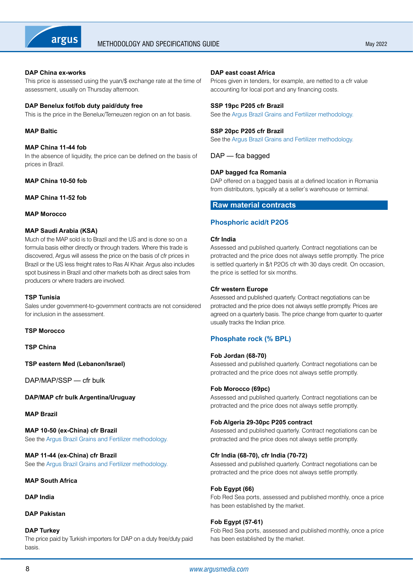<span id="page-7-0"></span>

## **DAP China ex-works**

This price is assessed using the yuan/\$ exchange rate at the time of assessment, usually on Thursday afternoon.

#### **DAP Benelux fot/fob duty paid/duty free**

This is the price in the Benelux/Terneuzen region on an fot basis.

## **MAP Baltic**

#### **MAP China 11-44 fob**

In the absence of liquidity, the price can be defined on the basis of prices in Brazil.

## **MAP China 10-50 fob**

#### **MAP China 11-52 fob**

#### **MAP Morocco**

## **MAP Saudi Arabia (KSA)**

Much of the MAP sold is to Brazil and the US and is done so on a formula basis either directly or through traders. Where this trade is discovered, Argus will assess the price on the basis of cfr prices in Brazil or the US less freight rates to Ras Al Khair. Argus also includes spot business in Brazil and other markets both as direct sales from producers or where traders are involved.

## **TSP Tunisia**

Sales under government-to-government contracts are not considered for inclusion in the assessment.

## **TSP Morocco**

**TSP China**

**TSP eastern Med (Lebanon/Israel)**

DAP/MAP/SSP — cfr bulk

**DAP/MAP cfr bulk Argentina/Uruguay**

## **MAP Brazil**

**MAP 10-50 (ex-China) cfr Brazil** See the [Argus Brazil Grains and Fertilizer methodology.](https://www.argusmedia.com/-/media/Files/methodology/argus-brazil-grains-and-fertilizer.ashx)

**MAP 11-44 (ex-China) cfr Brazil** See the [Argus Brazil Grains and Fertilizer methodology.](https://www.argusmedia.com/-/media/Files/methodology/argus-brazil-grains-and-fertilizer.ashx)

## **MAP South Africa**

## **DAP India**

## **DAP Pakistan**

#### **DAP Turkey**

The price paid by Turkish importers for DAP on a duty free/duty paid basis.

#### **DAP east coast Africa**

Prices given in tenders, for example, are netted to a cfr value accounting for local port and any financing costs.

#### **SSP 19pc P205 cfr Brazil**

See the [Argus Brazil Grains and Fertilizer methodology](https://www.argusmedia.com/-/media/Files/methodology/argus-brazil-grains-and-fertilizer.ashx).

#### **SSP 20pc P205 cfr Brazil**

See the [Argus Brazil Grains and Fertilizer methodology](https://www.argusmedia.com/-/media/Files/methodology/argus-brazil-grains-and-fertilizer.ashx).

DAP — fca bagged

## **DAP bagged fca Romania**

DAP offered on a bagged basis at a defined location in Romania from distributors, typically at a seller's warehouse or terminal.

## **Raw material contracts**

## **Phosphoric acid/t P2O5**

#### **Cfr India**

Assessed and published quarterly. Contract negotiations can be protracted and the price does not always settle promptly. The price is settled quarterly in \$/t P2O5 cfr with 30 days credit. On occasion, the price is settled for six months.

#### **Cfr western Europe**

Assessed and published quarterly. Contract negotiations can be protracted and the price does not always settle promptly. Prices are agreed on a quarterly basis. The price change from quarter to quarter usually tracks the Indian price.

## **Phosphate rock (% BPL)**

#### **Fob Jordan (68-70)**

Assessed and published quarterly. Contract negotiations can be protracted and the price does not always settle promptly.

## **Fob Morocco (69pc)**

Assessed and published quarterly. Contract negotiations can be protracted and the price does not always settle promptly.

#### **Fob Algeria 29-30pc P205 contract**

Assessed and published quarterly. Contract negotiations can be protracted and the price does not always settle promptly.

## **Cfr India (68-70), cfr India (70-72)**

Assessed and published quarterly. Contract negotiations can be protracted and the price does not always settle promptly.

## **Fob Egypt (66)**

Fob Red Sea ports, assessed and published monthly, once a price has been established by the market.

## **Fob Egypt (57-61)**

Fob Red Sea ports, assessed and published monthly, once a price has been established by the market.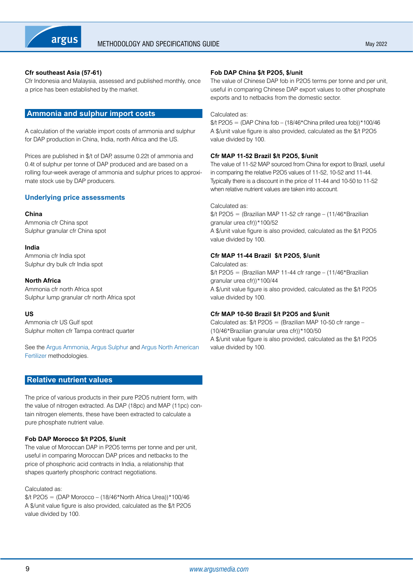<span id="page-8-0"></span>

## **Cfr southeast Asia (57-61)**

Cfr Indonesia and Malaysia, assessed and published monthly, once a price has been established by the market.

## **Ammonia and sulphur import costs**

A calculation of the variable import costs of ammonia and sulphur for DAP production in China, India, north Africa and the US.

Prices are published in \$/t of DAP, assume 0.22t of ammonia and 0.4t of sulphur per tonne of DAP produced and are based on a rolling four-week average of ammonia and sulphur prices to approximate stock use by DAP producers.

## **Underlying price assessments**

#### **China**

Ammonia cfr China spot Sulphur granular cfr China spot

#### **India**

Ammonia cfr India spot Sulphur dry bulk cfr India spot

#### **North Africa**

Ammonia cfr north Africa spot Sulphur lump granular cfr north Africa spot

## **US**

Ammonia cfr US Gulf spot Sulphur molten cfr Tampa contract quarter

See the [Argus Ammonia](https://www.argusmedia.com/-/media/Files/methodology/argus-ammonia.ashx), [Argus Sulphur](https://www.argusmedia.com/-/media/Files/methodology/argus-sulphur.ashx) and [Argus North American](https://www.argusmedia.com/-/media/Files/methodology/argus-north-american-fertilizer.ashx)  [Fertilizer](https://www.argusmedia.com/-/media/Files/methodology/argus-north-american-fertilizer.ashx) methodologies.

## **Relative nutrient values**

The price of various products in their pure P2O5 nutrient form, with the value of nitrogen extracted. As DAP (18pc) and MAP (11pc) contain nitrogen elements, these have been extracted to calculate a pure phosphate nutrient value.

## **Fob DAP Morocco \$/t P2O5, \$/unit**

The value of Moroccan DAP in P2O5 terms per tonne and per unit, useful in comparing Moroccan DAP prices and netbacks to the price of phosphoric acid contracts in India, a relationship that shapes quarterly phosphoric contract negotiations.

#### Calculated as:

 $\frac{4}{100}$  + P2O5 = (DAP Morocco – (18/46\*North Africa Urea))\*100/46 A \$/unit value figure is also provided, calculated as the \$/t P2O5 value divided by 100.

## **Fob DAP China \$/t P2O5, \$/unit**

The value of Chinese DAP fob in P2O5 terms per tonne and per unit, useful in comparing Chinese DAP export values to other phosphate exports and to netbacks from the domestic sector.

#### Calculated as:

 $\frac{1}{2}$ t P2O5 = (DAP China fob – (18/46\*China prilled urea fob))\*100/46 A \$/unit value figure is also provided, calculated as the \$/t P2O5 value divided by 100.

## **Cfr MAP 11-52 Brazil \$/t P2O5, \$/unit**

The value of 11-52 MAP sourced from China for export to Brazil, useful in comparing the relative P2O5 values of 11-52, 10-52 and 11-44. Typically there is a discount in the price of 11-44 and 10-50 to 11-52 when relative nutrient values are taken into account.

Calculated as:

 $\frac{1}{2}$ t P2O5 = (Brazilian MAP 11-52 cfr range – (11/46\*Brazilian granular urea cfr))\*100/52 A \$/unit value figure is also provided, calculated as the \$/t P2O5 value divided by 100.

## **Cfr MAP 11-44 Brazil \$/t P2O5, \$/unit**

Calculated as:  $1/2$ O5 = (Brazilian MAP 11-44 cfr range – (11/46\*Brazilian granular urea cfr))\*100/44 A \$/unit value figure is also provided, calculated as the \$/t P2O5 value divided by 100.

## **Cfr MAP 10-50 Brazil \$/t P2O5 and \$/unit**

Calculated as:  $\frac{4}{5}$  P2O5 = (Brazilian MAP 10-50 cfr range – (10/46\*Brazilian granular urea cfr))\*100/50 A \$/unit value figure is also provided, calculated as the \$/t P2O5 value divided by 100.